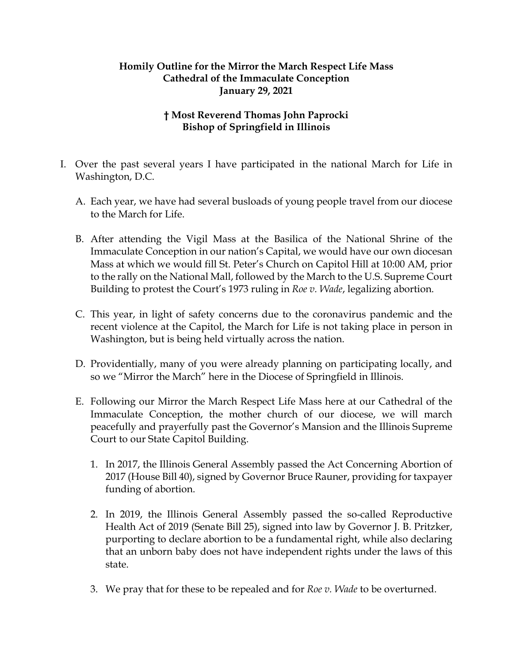## **Homily Outline for the Mirror the March Respect Life Mass Cathedral of the Immaculate Conception January 29, 2021**

## **† Most Reverend Thomas John Paprocki Bishop of Springfield in Illinois**

- I. Over the past several years I have participated in the national March for Life in Washington, D.C.
	- A. Each year, we have had several busloads of young people travel from our diocese to the March for Life.
	- B. After attending the Vigil Mass at the Basilica of the National Shrine of the Immaculate Conception in our nation's Capital, we would have our own diocesan Mass at which we would fill St. Peter's Church on Capitol Hill at 10:00 AM, prior to the rally on the National Mall, followed by the March to the U.S. Supreme Court Building to protest the Court's 1973 ruling in *Roe v. Wade*, legalizing abortion.
	- C. This year, in light of safety concerns due to the coronavirus pandemic and the recent violence at the Capitol, the March for Life is not taking place in person in Washington, but is being held virtually across the nation.
	- D. Providentially, many of you were already planning on participating locally, and so we "Mirror the March" here in the Diocese of Springfield in Illinois.
	- E. Following our Mirror the March Respect Life Mass here at our Cathedral of the Immaculate Conception, the mother church of our diocese, we will march peacefully and prayerfully past the Governor's Mansion and the Illinois Supreme Court to our State Capitol Building.
		- 1. In 2017, the Illinois General Assembly passed the Act Concerning Abortion of 2017 (House Bill 40), signed by Governor Bruce Rauner, providing for taxpayer funding of abortion.
		- 2. In 2019, the Illinois General Assembly passed the so-called Reproductive Health Act of 2019 (Senate Bill 25), signed into law by Governor J. B. Pritzker, purporting to declare abortion to be a fundamental right, while also declaring that an unborn baby does not have independent rights under the laws of this state.
		- 3. We pray that for these to be repealed and for *Roe v. Wade* to be overturned.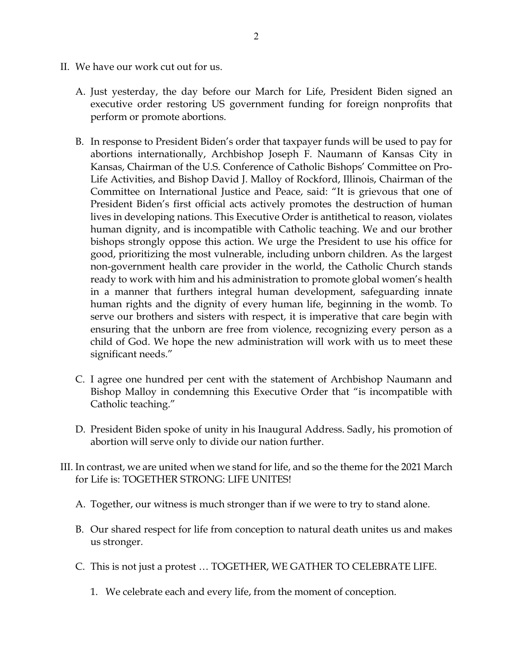- II. We have our work cut out for us.
	- A. Just yesterday, the day before our March for Life, President Biden signed an executive order restoring US government funding for foreign nonprofits that perform or promote abortions.
	- B. In response to President Biden's order that taxpayer funds will be used to pay for abortions internationally, Archbishop Joseph F. Naumann of Kansas City in Kansas, Chairman of the U.S. Conference of Catholic Bishops' Committee on Pro-Life Activities, and Bishop David J. Malloy of Rockford, Illinois, Chairman of the Committee on International Justice and Peace, said: "It is grievous that one of President Biden's first official acts actively promotes the destruction of human lives in developing nations. This Executive Order is antithetical to reason, violates human dignity, and is incompatible with Catholic teaching. We and our brother bishops strongly oppose this action. We urge the President to use his office for good, prioritizing the most vulnerable, including unborn children. As the largest non-government health care provider in the world, the Catholic Church stands ready to work with him and his administration to promote global women's health in a manner that furthers integral human development, safeguarding innate human rights and the dignity of every human life, beginning in the womb. To serve our brothers and sisters with respect, it is imperative that care begin with ensuring that the unborn are free from violence, recognizing every person as a child of God. We hope the new administration will work with us to meet these significant needs."
	- C. I agree one hundred per cent with the statement of Archbishop Naumann and Bishop Malloy in condemning this Executive Order that "is incompatible with Catholic teaching."
	- D. President Biden spoke of unity in his Inaugural Address. Sadly, his promotion of abortion will serve only to divide our nation further.
- III. In contrast, we are united when we stand for life, and so the theme for the 2021 March for Life is: TOGETHER STRONG: LIFE UNITES!
	- A. Together, our witness is much stronger than if we were to try to stand alone.
	- B. Our shared respect for life from conception to natural death unites us and makes us stronger.
	- C. This is not just a protest … TOGETHER, WE GATHER TO CELEBRATE LIFE.
		- 1. We celebrate each and every life, from the moment of conception.